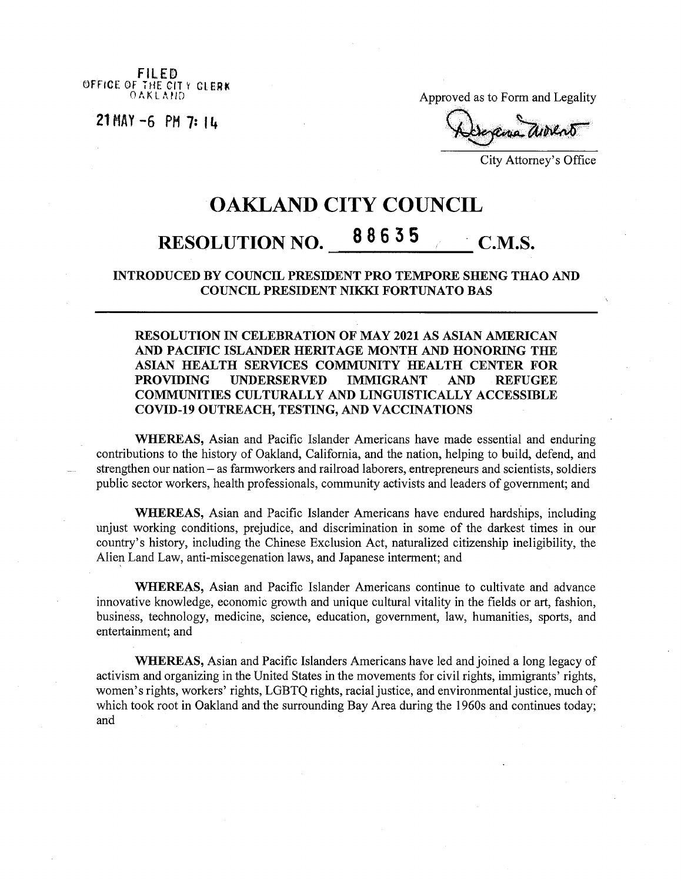**FILED ©FFIGE 0F THE GIT <sup>V</sup> GI.EBK**

<sup>21</sup> HAY -6 PH 7: <sup>14</sup>

**OAKLAND** BREAK AND

City Attorney's Office

## OAKLAND CITY COUNCIL RESOLUTION NO.  $88635$  C.M.S.

**INTRODUCED BY COUNCIL PRESIDENT PRO TEMPORE SHENG THAO AND COUNCIL PRESIDENT NIKKI FORTUNATO BAS**

**RESOLUTION IN CELEBRATION OF MAY 2021 AS ASIAN AMERICAN AND PACIFIC ISLANDER HERITAGE MONTH AND HONORING THE ASIAN HEALTH SERVICES COMMUNITY HEALTH CENTER FOR PROVIDING UNDERSERVED IMMIGRANT AND REFUGEE COMMUNITIES CULTURALLY AND LINGUISTICALLY ACCESSIBLE COVID-19 OUTREACH, TESTING, AND VACCINATIONS**

**WHEREAS,** Asian and Pacific Islander Americans have made essential and enduring contributions to the history of Oakland, California, and the nation, helping to build, defend, and strengthen our nation - as farmworkers and railroad laborers, entrepreneurs and scientists, soldiers public sector workers, health professionals, community activists and leaders of government; and

**WHEREAS,** Asian and Pacific Islander Americans have endured hardships, including unjust working conditions, prejudice, and discrimination in some of the darkest times in our country's history, including the Chinese Exclusion Act, naturalized citizenship ineligibility, the Alien Land Law, anti-miscegenation laws, and Japanese interment; and

**WHEREAS,** Asian and Pacific Islander Americans continue to cultivate and advance innovative knowledge, economic growth and unique cultural vitality in the fields or art, fashion, business, technology, medicine, science, education, government, law, humanities, sports, and entertainment; and

**WHEREAS,** Asian and Pacific Islanders Americans have led and joined a long legacy of activism and organizing in the United States in the movements for civil rights, immigrants' rights, women's rights, workers' rights, LGBTQ rights, racial justice, and environmental justice, much of which took root in Oakland and the surrounding Bay Area during the 1960s and continues today; and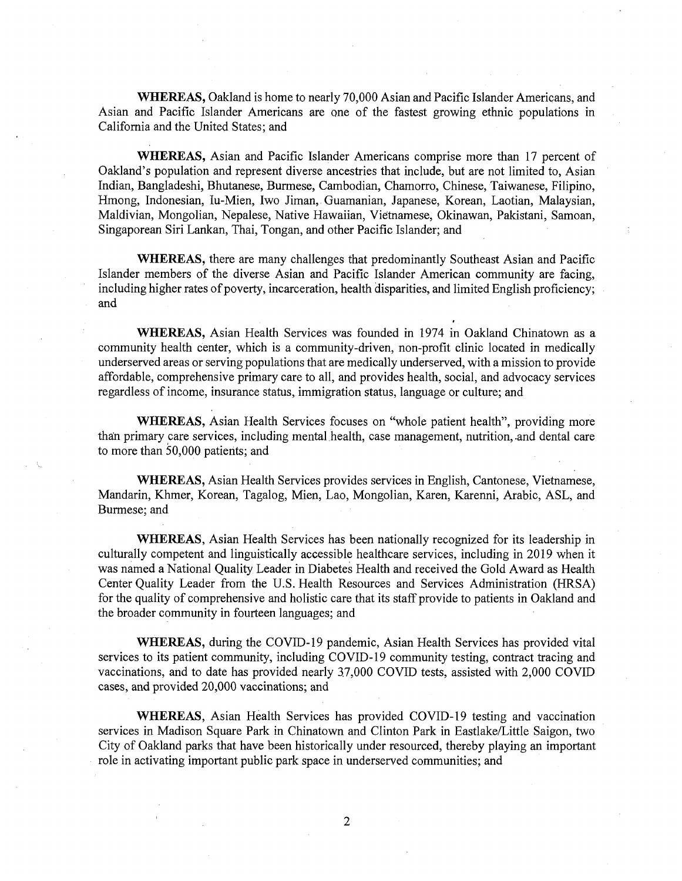**WHEREAS,** Oakland is home to nearly *70,000* Asian and Pacific Islander Americans, and Asian and Pacific Islander Americans are one of the fastest growing ethnic populations in California and the United States; and

**WHEREAS,** Asian and Pacific Islander Americans comprise more than 17 percent of Oakland's population and represent diverse ancestries that include, but are not limited to, Asian Indian, Bangladeshi, Bhutanese, Burmese, Cambodian, Chamorro, Chinese, Taiwanese, Filipino, Hmong, Indonesian, Iu-Mien, Iwo Jiman, Guamanian, Japanese, Korean, Laotian, Malaysian, Maldivian, Mongolian, Nepalese, Native Hawaiian, Vietnamese, Okinawan, Pakistani, Samoan, Singaporean Siri Lankan, Thai, Tongan, and other Pacific Islander; and

**WHEREAS,** there are many challenges that predominantly Southeast Asian and Pacific Islander members of the diverse Asian and Pacific Islander American community are facing, including higher rates of poverty, incarceration, health disparities, and limited English proficiency; and

**WHEREAS,** Asian Health Services was founded in 1974 in Oakland Chinatown as a community health center, which is a community-driven, non-profit clinic located in medically underserved areas or serving populations that are medically underserved, with a mission to provide affordable, comprehensive primary care to all, and provides health, social, and advocacy services regardless of income, insurance status, immigration status, language or culture; and

**WHEREAS,** Asian Health Services focuses on "whole patient health", providing more than primary care services, including mental health, case management, nutrition, and dental care to more than 50,000 patients; and

**WHEREAS,** Asian Health Services provides services in English, Cantonese, Vietnamese, Mandarin, Khmer, Korean, Tagalog, Mien, Lao, Mongolian, Karen, Karenni, Arabic, ASL, and Burmese; and

**WHEREAS,** Asian Health Services has been nationally recognized for its leadership in culturally competent and linguistically accessible healthcare services, including in 2019 when it was named a National Quality Leader in Diabetes Health and received the Gold Award as Health Center Quality Leader from the U.S. Health Resources and Services Administration (HRSA) for the quality of comprehensive and holistic care that its staff provide to patients in Oakland and the broader community in fourteen languages; and

**WHEREAS,** during the COVID-19 pandemic, Asian Health Services has provided vital services to its patient community, including COVID-19 community testing, contract tracing and vaccinations, and to date has provided nearly 37,000 COVID tests, assisted with 2,000 COVID cases, and provided 20,000 vaccinations; and

**WHEREAS,** Asian Health Services has provided COVID-19 testing and vaccination services in Madison Square Park in Chinatown and Clinton Park in Eastlake/Little Saigon, two City of Oakland parks that have been historically under resourced, thereby playing an important role in activating important public park space in underserved communities; and